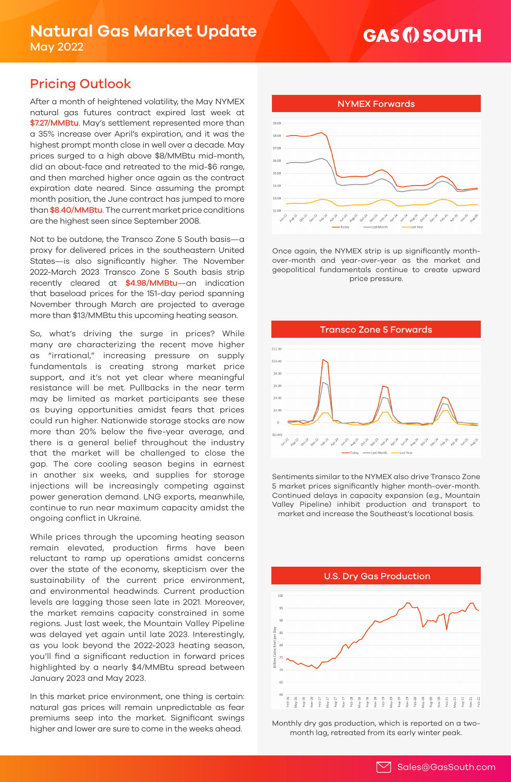## **GAS (i) SOUTH**

## Pricing Outlook

After a month of heightened volatility, the May NYMEX NEW NORTH NYMEX Forwards natural gas futures contract expired last week at \$7.27/MMBtu. May's settlement represented more than a 35% increase over April's expiration, and it was the highest prompt month close in well over a decade. May prices surged to a high above \$8/MMBtu mid-month, did an about-face and retreated to the mid-\$6 range, and then marched higher once again as the contract expiration date neared. Since assuming the prompt month position, the June contract has jumped to more than \$8.40/MMBtu. The current market price conditions are the highest seen since September 2008.

Not to be outdone, the Transco Zone 5 South basis—a proxy for delivered prices in the southeastern United States—is also significantly higher. The November 2022-March 2023 Transco Zone 5 South basis strip recently cleared at \$4.98/MMBtu—an indication that baseload prices for the 151-day period spanning November through March are projected to average more than \$13/MMBtu this upcoming heating season.

So, what's driving the surge in prices? While many are characterizing the recent move higher as "irrational," increasing pressure on supply fundamentals is creating strong market price support, and it's not yet clear where meaningful resistance will be met. Pullbacks in the near term may be limited as market participants see these as buying opportunities amidst fears that prices could run higher. Nationwide storage stocks are now more than 20% below the five-year average, and there is a general belief throughout the industry that the market will be challenged to close the gap. The core cooling season begins in earnest in another six weeks, and supplies for storage injections will be increasingly competing against power generation demand. LNG exports, meanwhile, continue to run near maximum capacity amidst the ongoing conflict in Ukraine.

While prices through the upcoming heating season remain elevated, production firms have been reluctant to ramp up operations amidst concerns over the state of the economy, skepticism over the sustainability of the current price environment, and environmental headwinds. Current production levels are lagging those seen late in 2021. Moreover, the market remains capacity constrained in some regions. Just last week, the Mountain Valley Pipeline was delayed yet again until late 2023. Interestingly, as you look beyond the 2022-2023 heating season, you'll find a significant reduction in forward prices highlighted by a nearly \$4/MMBtu spread between January 2023 and May 2023.

In this market price environment, one thing is certain: natural gas prices will remain unpredictable as fear premiums seep into the market. Significant swings higher and lower are sure to come in the weeks ahead.



Once again, the NYMEX strip is up significantly monthover-month and year-over-year as the market and geopolitical fundamentals continue to create upward price pressure.



Sentiments similar to the NYMEX also drive Transco Zone 5 market prices significantly higher month-over-month. Continued delays in capacity expansion (e.g., Mountain Valley Pipeline) inhibit production and transport to market and increase the Southeast's locational basis.



Monthly dry gas production, which is reported on a twomonth lag, retreated from its early winter peak.